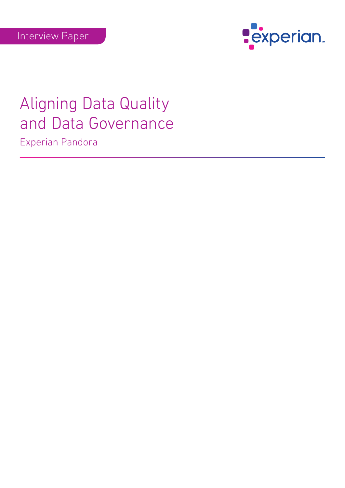

# Aligning Data Quality and Data Governance Experian Pandora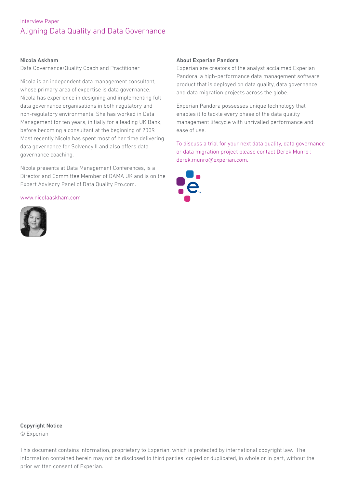#### Nicola Askham

Data Governance/Quality Coach and Practitioner

Nicola is an independent data management consultant, whose primary area of expertise is data governance. Nicola has experience in designing and implementing full data governance organisations in both regulatory and non-regulatory environments. She has worked in Data Management for ten years, initially for a leading UK Bank, before becoming a consultant at the beginning of 2009. Most recently Nicola has spent most of her time delivering data governance for Solvency II and also offers data governance coaching.

Nicola presents at Data Management Conferences, is a Director and Committee Member of DAMA UK and is on the Expert Advisory Panel of Data Quality Pro.com.

www.nicolaaskham.com



#### About Experian Pandora

Experian are creators of the analyst acclaimed Experian Pandora, a high-performance data management software product that is deployed on data quality, data governance and data migration projects across the globe.

Experian Pandora possesses unique technology that enables it to tackle every phase of the data quality management lifecycle with unrivalled performance and ease of use.

To discuss a trial for your next data quality, data governance or data migration project please contact Derek Munro : derek.munro@experian.com.



### Copyright Notice

© Experian

This document contains information, proprietary to Experian, which is protected by international copyright law. The information contained herein may not be disclosed to third parties, copied or duplicated, in whole or in part, without the prior written consent of Experian.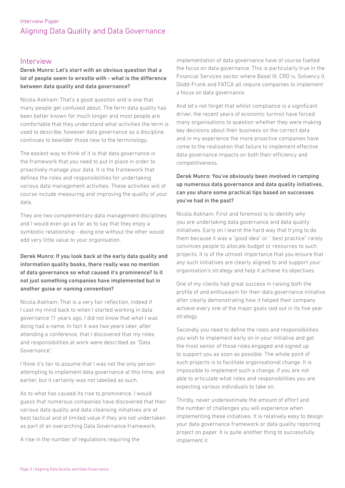## Interview

#### Derek Munro: Let's start with an obvious question that a lot of people seem to wrestle with - what is the difference between data quality and data governance?

Nicola Askham: That's a good question and is one that many people get confused about. The term data quality has been better known for much longer and most people are comfortable that they understand what activities the term is used to describe, however data governance as a discipline continues to bewilder those new to the terminology.

The easiest way to think of it is that data governance is the framework that you need to put in place in order to proactively manage your data. It is the framework that defines the roles and responsibilities for undertaking various data management activities. These activities will of course include measuring and improving the quality of your data.

They are two complementary data management disciplines and I would even go as far as to say that they enjoy a symbiotic relationship - doing one without the other would add very little value to your organisation.

### Derek Munro: If you look back at the early data quality and information quality books, there really was no mention of data governance so what caused it's prominence? Is it not just something companies have implemented but in another guise or naming convention?

Nicola Askham: That is a very fair reflection, indeed if I cast my mind back to when I started working in data governance 11 years ago, I did not know that what I was doing had a name. In fact it was two years later, after attending a conference, that I discovered that my roles and responsibilities at work were described as "Data Governance".

I think it's fair to assume that I was not the only person attempting to implement data governance at this time, and earlier, but it certainly was not labelled as such.

As to what has caused its rise to prominence, I would guess that numerous companies have discovered that their various data quality and data cleansing initiatives are at best tactical and of limited value if they are not undertaken as part of an overarching Data Governance framework.

A rise in the number of regulations requiring the

implementation of data governance have of course fuelled the focus on data governance. This is particularly true in the Financial Services sector where Basel III, CRD iv, Solvency II, Dodd-Frank and FATCA all require companies to implement a focus on data governance.

And let's not forget that whilst compliance is a significant driver, the recent years of economic turmoil have forced many organisations to question whether they were making key decisions about their business on the correct data and in my experience the more proactive companies have come to the realisation that failure to implement effective data governance impacts on both their efficiency and competitiveness.

### Derek Munro: You've obviously been involved in ramping up numerous data governance and data quality initiatives, can you share some practical tips based on successes you've had in the past?

Nicola Askham: First and foremost is to identify why you are undertaking data governance and data quality initiatives. Early on I learnt the hard way that trying to do them because it was a "good idea" or " best practice" rarely convinces people to allocate budget or resources to such projects. It is of the utmost importance that you ensure that any such initiatives are clearly aligned to and support your organisation's strategy and help it achieve its objectives.

One of my clients had great success in raising both the profile of and enthusiasm for their data governance initiative after clearly demonstrating how it helped their company achieve every one of the major goals laid out in its five year strategy.

Secondly you need to define the roles and responsibilities you wish to implement early on in your initiative and get the most senior of those roles engaged and signed up to support you as soon as possible. The whole point of such projects is to facilitate organisational change. It is impossible to implement such a change, if you are not able to articulate what roles and responsibilities you are expecting various individuals to take on.

Thirdly, never underestimate the amount of effort and the number of challenges you will experience when implementing these initiatives. It is relatively easy to design your data governance framework or data quality reporting project on paper. It is quite another thing to successfully implement it.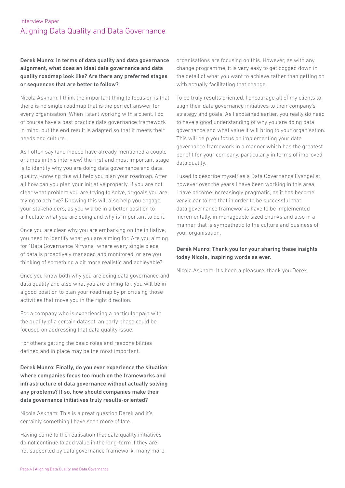Derek Munro: In terms of data quality and data governance alignment, what does an ideal data governance and data quality roadmap look like? Are there any preferred stages or sequences that are better to follow?

Nicola Askham: I think the important thing to focus on is that there is no single roadmap that is the perfect answer for every organisation. When I start working with a client, I do of course have a best practice data governance framework in mind, but the end result is adapted so that it meets their needs and culture.

As I often say (and indeed have already mentioned a couple of times in this interview) the first and most important stage is to identify why you are doing data governance and data quality. Knowing this will help you plan your roadmap. After all how can you plan your initiative properly, if you are not clear what problem you are trying to solve, or goals you are trying to achieve? Knowing this will also help you engage your stakeholders, as you will be in a better position to articulate what you are doing and why is important to do it.

Once you are clear why you are embarking on the initiative, you need to identify what you are aiming for. Are you aiming for "Data Governance Nirvana" where every single piece of data is proactively managed and monitored, or are you thinking of something a bit more realistic and achievable?

Once you know both why you are doing data governance and data quality and also what you are aiming for, you will be in a good position to plan your roadmap by prioritising those activities that move you in the right direction.

For a company who is experiencing a particular pain with the quality of a certain dataset, an early phase could be focused on addressing that data quality issue.

For others getting the basic roles and responsibilities defined and in place may be the most important.

Derek Munro: Finally, do you ever experience the situation where companies focus too much on the frameworks and infrastructure of data governance without actually solving any problems? If so, how should companies make their data governance initiatives truly results-oriented?

Nicola Askham: This is a great question Derek and it's certainly something I have seen more of late.

Having come to the realisation that data quality initiatives do not continue to add value in the long-term if they are not supported by data governance framework, many more organisations are focusing on this. However, as with any change programme, it is very easy to get bogged down in the detail of what you want to achieve rather than getting on with actually facilitating that change.

To be truly results oriented, I encourage all of my clients to align their data governance initiatives to their company's strategy and goals. As I explained earlier, you really do need to have a good understanding of why you are doing data governance and what value it will bring to your organisation. This will help you focus on implementing your data governance framework in a manner which has the greatest benefit for your company, particularly in terms of improved data quality.

I used to describe myself as a Data Governance Evangelist, however over the years I have been working in this area, I have become increasingly pragmatic, as it has become very clear to me that in order to be successful that data governance frameworks have to be implemented incrementally, in manageable sized chunks and also in a manner that is sympathetic to the culture and business of your organisation.

#### Derek Munro: Thank you for your sharing these insights today Nicola, inspiring words as ever.

Nicola Askham: It's been a pleasure, thank you Derek.